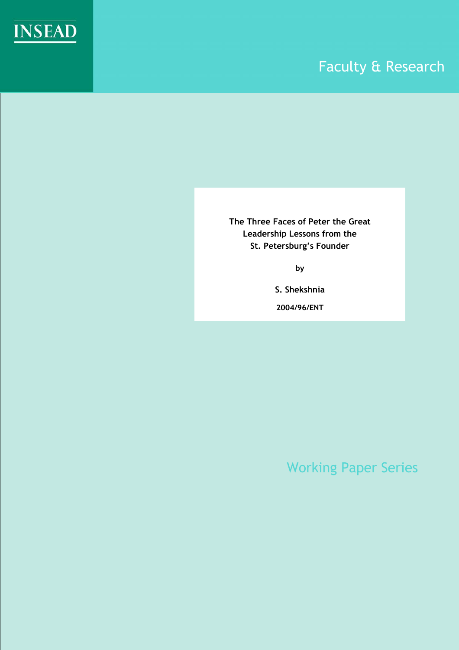

# Faculty & Research

**The Three Faces of Peter the Great Leadership Lessons from the St. Petersburg's Founder** 

**by** 

**S. Shekshnia**

**2004/96/ENT** 

Working Paper Series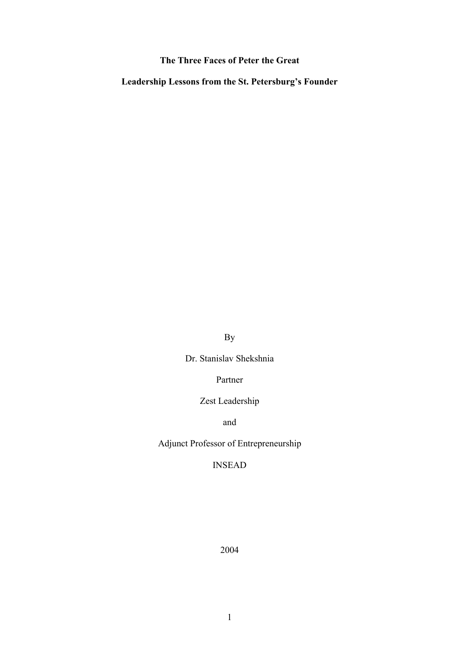# **The Three Faces of Peter the Great**

**Leadership Lessons from the St. Petersburg's Founder**

By

Dr. Stanislav Shekshnia

Partner

Zest Leadership

and

Adjunct Professor of Entrepreneurship

INSEAD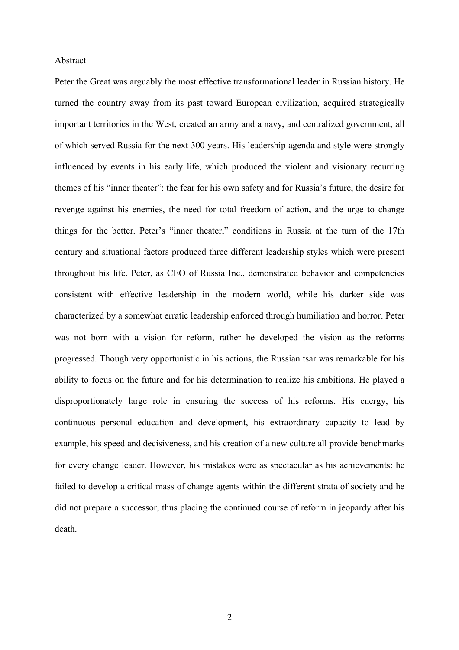### Abstract

Peter the Great was arguably the most effective transformational leader in Russian history. He turned the country away from its past toward European civilization, acquired strategically important territories in the West, created an army and a navy**,** and centralized government, all of which served Russia for the next 300 years. His leadership agenda and style were strongly influenced by events in his early life, which produced the violent and visionary recurring themes of his "inner theater": the fear for his own safety and for Russia's future, the desire for revenge against his enemies, the need for total freedom of action**,** and the urge to change things for the better. Peter's "inner theater," conditions in Russia at the turn of the 17th century and situational factors produced three different leadership styles which were present throughout his life. Peter, as CEO of Russia Inc., demonstrated behavior and competencies consistent with effective leadership in the modern world, while his darker side was characterized by a somewhat erratic leadership enforced through humiliation and horror. Peter was not born with a vision for reform, rather he developed the vision as the reforms progressed. Though very opportunistic in his actions, the Russian tsar was remarkable for his ability to focus on the future and for his determination to realize his ambitions. He played a disproportionately large role in ensuring the success of his reforms. His energy, his continuous personal education and development, his extraordinary capacity to lead by example, his speed and decisiveness, and his creation of a new culture all provide benchmarks for every change leader. However, his mistakes were as spectacular as his achievements: he failed to develop a critical mass of change agents within the different strata of society and he did not prepare a successor, thus placing the continued course of reform in jeopardy after his death.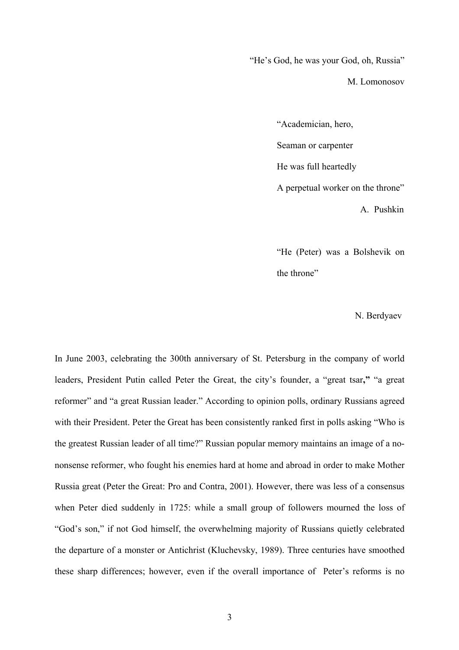"He's God, he was your God, oh, Russia"

M. Lomonosov

"Academician, hero, Seaman or carpenter He was full heartedly A perpetual worker on the throne" A. Pushkin

"He (Peter) was a Bolshevik on the throne"

N. Berdyaev

In June 2003, celebrating the 300th anniversary of St. Petersburg in the company of world leaders, President Putin called Peter the Great, the city's founder, a "great tsar**,"** "a great reformer" and "a great Russian leader." According to opinion polls, ordinary Russians agreed with their President. Peter the Great has been consistently ranked first in polls asking "Who is the greatest Russian leader of all time?" Russian popular memory maintains an image of a nononsense reformer, who fought his enemies hard at home and abroad in order to make Mother Russia great (Peter the Great: Pro and Contra, 2001). However, there was less of a consensus when Peter died suddenly in 1725: while a small group of followers mourned the loss of "God's son," if not God himself, the overwhelming majority of Russians quietly celebrated the departure of a monster or Antichrist (Kluchevsky, 1989). Three centuries have smoothed these sharp differences; however, even if the overall importance of Peter's reforms is no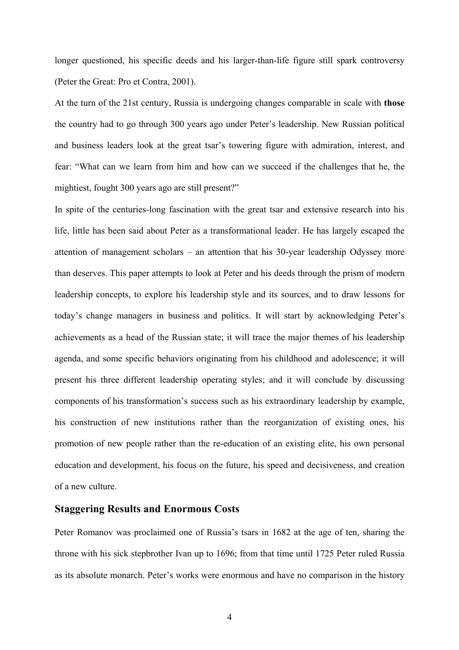longer questioned, his specific deeds and his larger-than-life figure still spark controversy (Peter the Great: Pro et Contra, 2001).

At the turn of the 21st century, Russia is undergoing changes comparable in scale with **those** the country had to go through 300 years ago under Peter's leadership. New Russian political and business leaders look at the great tsar's towering figure with admiration, interest, and fear: "What can we learn from him and how can we succeed if the challenges that he, the mightiest, fought 300 years ago are still present?"

In spite of the centuries-long fascination with the great tsar and extensive research into his life, little has been said about Peter as a transformational leader. He has largely escaped the attention of management scholars – an attention that his 30-year leadership Odyssey more than deserves. This paper attempts to look at Peter and his deeds through the prism of modern leadership concepts, to explore his leadership style and its sources, and to draw lessons for today's change managers in business and politics. It will start by acknowledging Peter's achievements as a head of the Russian state; it will trace the major themes of his leadership agenda, and some specific behaviors originating from his childhood and adolescence; it will present his three different leadership operating styles; and it will conclude by discussing components of his transformation's success such as his extraordinary leadership by example, his construction of new institutions rather than the reorganization of existing ones, his promotion of new people rather than the re-education of an existing elite, his own personal education and development, his focus on the future, his speed and decisiveness, and creation of a new culture.

#### **Staggering Results and Enormous Costs**

Peter Romanov was proclaimed one of Russia's tsars in 1682 at the age of ten, sharing the throne with his sick stepbrother Ivan up to 1696; from that time until 1725 Peter ruled Russia as its absolute monarch. Peter's works were enormous and have no comparison in the history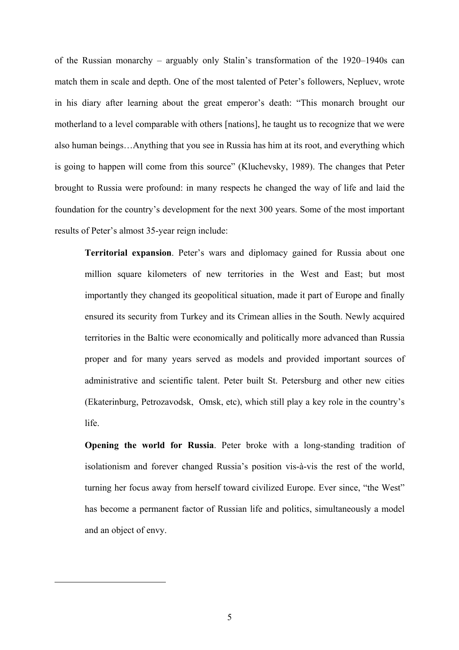of the Russian monarchy – arguably only Stalin's transformation of the 1920–1940s can match them in scale and depth. One of the most talented of Peter's followers, Nepluev, wrote in his diary after learning about the great emperor's death: "This monarch brought our motherland to a level comparable with others [nations], he taught us to recognize that we were also human beings…Anything that you see in Russia has him at its root, and everything which is going to happen will come from this source[" \(](#page-5-0)Kluchevsky, 1989). The changes that Peter brought to Russia were profound: in many respects he changed the way of life and laid the foundation for the country's development for the next 300 years. Some of the most important results of Peter's almost 35-year reign include:

 **Territorial expansion**. Peter's wars and diplomacy gained for Russia about one million square kilometers of new territories in the West and East; but most importantly they changed its geopolitical situation, made it part of Europe and finally ensured its security from Turkey and its Crimean allies in the South. Newly acquired territories in the Baltic were economically and politically more advanced than Russia proper and for many years served as models and provided important sources of administrative and scientific talent. Peter built St. Petersburg and other new cities (Ekaterinburg, Petrozavodsk, Omsk, etc), which still play a key role in the country's life.

 **Opening the world for Russia**. Peter broke with a long-standing tradition of isolationism and forever changed Russia's position vis-à-vis the rest of the world, turning her focus away from herself toward civilized Europe. Ever since, "the West" has become a permanent factor of Russian life and politics, simultaneously a model and an object of envy.

<span id="page-5-0"></span> $\overline{a}$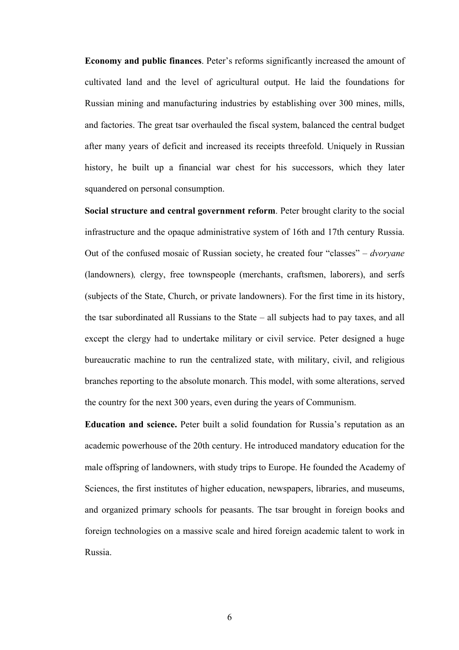**Economy and public finances**. Peter's reforms significantly increased the amount of cultivated land and the level of agricultural output. He laid the foundations for Russian mining and manufacturing industries by establishing over 300 mines, mills, and factories. The great tsar overhauled the fiscal system, balanced the central budget after many years of deficit and increased its receipts threefold. Uniquely in Russian history, he built up a financial war chest for his successors, which they later squandered on personal consumption.

 **Social structure and central government reform**. Peter brought clarity to the social infrastructure and the opaque administrative system of 16th and 17th century Russia. Out of the confused mosaic of Russian society, he created four "classes" – *dvoryane* (landowners)*,* clergy, free townspeople (merchants, craftsmen, laborers), and serfs (subjects of the State, Church, or private landowners). For the first time in its history, the tsar subordinated all Russians to the State – all subjects had to pay taxes, and all except the clergy had to undertake military or civil service. Peter designed a huge bureaucratic machine to run the centralized state, with military, civil, and religious branches reporting to the absolute monarch. This model, with some alterations, served the country for the next 300 years, even during the years of Communism.

 **Education and science.** Peter built a solid foundation for Russia's reputation as an academic powerhouse of the 20th century. He introduced mandatory education for the male offspring of landowners, with study trips to Europe. He founded the Academy of Sciences, the first institutes of higher education, newspapers, libraries, and museums, and organized primary schools for peasants. The tsar brought in foreign books and foreign technologies on a massive scale and hired foreign academic talent to work in Russia.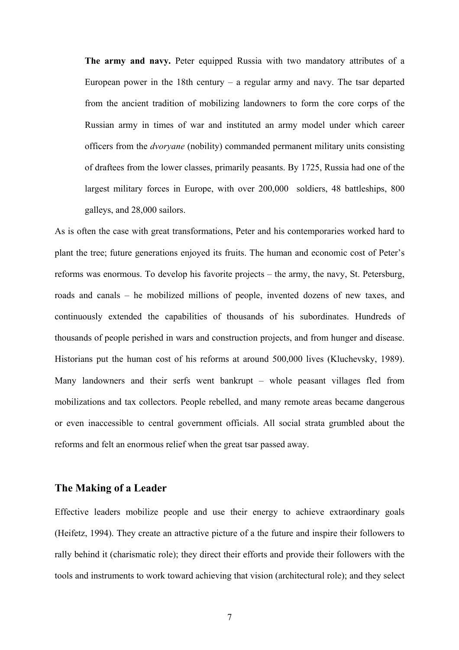**The army and navy.** Peter equipped Russia with two mandatory attributes of a European power in the 18th century – a regular army and navy. The tsar departed from the ancient tradition of mobilizing landowners to form the core corps of the Russian army in times of war and instituted an army model under which career officers from the *dvoryane* (nobility) commanded permanent military units consisting of draftees from the lower classes, primarily peasants. By 1725, Russia had one of the largest military forces in Europe, with over 200,000 soldiers, 48 battleships, 800 galleys, and 28,000 sailors.

As is often the case with great transformations, Peter and his contemporaries worked hard to plant the tree; future generations enjoyed its fruits. The human and economic cost of Peter's reforms was enormous. To develop his favorite projects – the army, the navy, St. Petersburg, roads and canals – he mobilized millions of people, invented dozens of new taxes, and continuously extended the capabilities of thousands of his subordinates. Hundreds of thousands of people perished in wars and construction projects, and from hunger and disease. Historians put the human cost of his reforms at around 500,000 lives (Kluchevsky, 1989). Many landowners and their serfs went bankrupt – whole peasant villages fled from mobilizations and tax collectors. People rebelled, and many remote areas became dangerous or even inaccessible to central government officials. All social strata grumbled about the reforms and felt an enormous relief when the great tsar passed away.

# **The Making of a Leader**

Effective leaders mobilize people and use their energy to achieve extraordinary goals (Heifetz, 1994). They create an attractive picture of a the future and inspire their followers to rally behind it (charismatic role); they direct their efforts and provide their followers with the tools and instruments to work toward achieving that vision (architectural role); and they select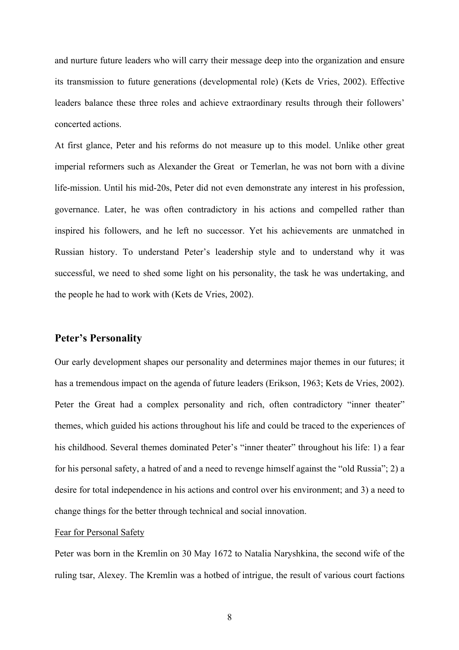and nurture future leaders who will carry their message deep into the organization and ensure its transmission to future generations (developmental role) (Kets de Vries, 2002). Effective leaders balance these three roles and achieve extraordinary results through their followers' concerted actions.

At first glance, Peter and his reforms do not measure up to this model. Unlike other great imperial reformers such as Alexander the Great or Temerlan, he was not born with a divine life-mission. Until his mid-20s, Peter did not even demonstrate any interest in his profession, governance. Later, he was often contradictory in his actions and compelled rather than inspired his followers, and he left no successor. Yet his achievements are unmatched in Russian history. To understand Peter's leadership style and to understand why it was successful, we need to shed some light on his personality, the task he was undertaking, and the people he had to work with (Kets de Vries, 2002).

## **Peter's Personality**

Our early development shapes our personality and determines major themes in our futures; it has a tremendous impact on the agenda of future leaders (Erikson, 1963; Kets de Vries, 2002). Peter the Great had a complex personality and rich, often contradictory "inner theater" themes, which guided his actions throughout his life and could be traced to the experiences of his childhood. Several themes dominated Peter's "inner theater" throughout his life: 1) a fear for his personal safety, a hatred of and a need to revenge himself against the "old Russia"; 2) a desire for total independence in his actions and control over his environment; and 3) a need to change things for the better through technical and social innovation.

#### Fear for Personal Safety

Peter was born in the Kremlin on 30 May 1672 to Natalia Naryshkina, the second wife of the ruling tsar, Alexey. The Kremlin was a hotbed of intrigue, the result of various court factions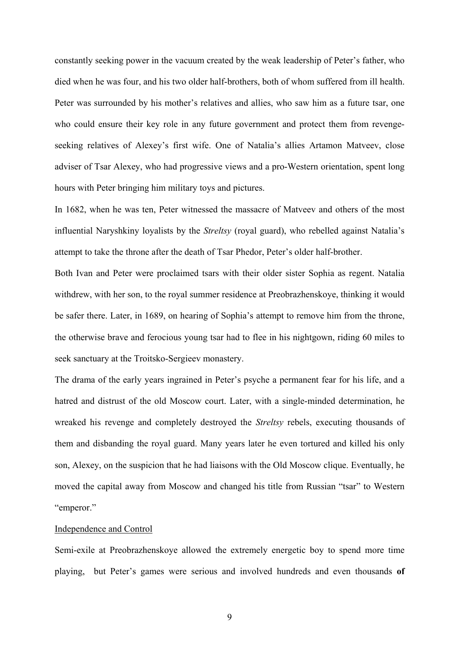constantly seeking power in the vacuum created by the weak leadership of Peter's father, who died when he was four, and his two older half-brothers, both of whom suffered from ill health. Peter was surrounded by his mother's relatives and allies, who saw him as a future tsar, one who could ensure their key role in any future government and protect them from revengeseeking relatives of Alexey's first wife. One of Natalia's allies Artamon Matveev, close adviser of Tsar Alexey, who had progressive views and a pro-Western orientation, spent long hours with Peter bringing him military toys and pictures.

In 1682, when he was ten, Peter witnessed the massacre of Matveev and others of the most influential Naryshkiny loyalists by the *Streltsy* (royal guard), who rebelled against Natalia's attempt to take the throne after the death of Tsar Phedor, Peter's older half-brother.

Both Ivan and Peter were proclaimed tsars with their older sister Sophia as regent. Natalia withdrew, with her son, to the royal summer residence at Preobrazhenskoye, thinking it would be safer there. Later, in 1689, on hearing of Sophia's attempt to remove him from the throne, the otherwise brave and ferocious young tsar had to flee in his nightgown, riding 60 miles to seek sanctuary at the Troitsko-Sergieev monastery.

The drama of the early years ingrained in Peter's psyche a permanent fear for his life, and a hatred and distrust of the old Moscow court. Later, with a single-minded determination, he wreaked his revenge and completely destroyed the *Streltsy* rebels, executing thousands of them and disbanding the royal guard. Many years later he even tortured and killed his only son, Alexey, on the suspicion that he had liaisons with the Old Moscow clique. Eventually, he moved the capital away from Moscow and changed his title from Russian "tsar" to Western "emperor."

#### Independence and Control

Semi-exile at Preobrazhenskoye allowed the extremely energetic boy to spend more time playing, but Peter's games were serious and involved hundreds and even thousands **of**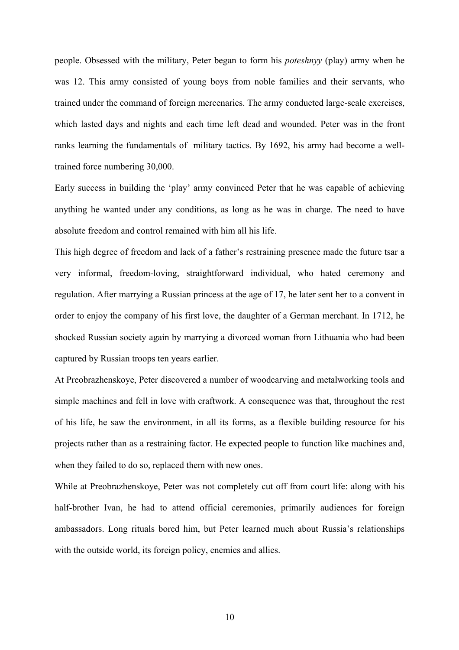people. Obsessed with the military, Peter began to form his *poteshnyy* (play) army when he was 12. This army consisted of young boys from noble families and their servants, who trained under the command of foreign mercenaries. The army conducted large-scale exercises, which lasted days and nights and each time left dead and wounded. Peter was in the front ranks learning the fundamentals of military tactics. By 1692, his army had become a welltrained force numbering 30,000.

Early success in building the 'play' army convinced Peter that he was capable of achieving anything he wanted under any conditions, as long as he was in charge. The need to have absolute freedom and control remained with him all his life.

This high degree of freedom and lack of a father's restraining presence made the future tsar a very informal, freedom-loving, straightforward individual, who hated ceremony and regulation. After marrying a Russian princess at the age of 17, he later sent her to a convent in order to enjoy the company of his first love, the daughter of a German merchant. In 1712, he shocked Russian society again by marrying a divorced woman from Lithuania who had been captured by Russian troops ten years earlier.

At Preobrazhenskoye, Peter discovered a number of woodcarving and metalworking tools and simple machines and fell in love with craftwork. A consequence was that, throughout the rest of his life, he saw the environment, in all its forms, as a flexible building resource for his projects rather than as a restraining factor. He expected people to function like machines and, when they failed to do so, replaced them with new ones.

While at Preobrazhenskoye, Peter was not completely cut off from court life: along with his half-brother Ivan, he had to attend official ceremonies, primarily audiences for foreign ambassadors. Long rituals bored him, but Peter learned much about Russia's relationships with the outside world, its foreign policy, enemies and allies.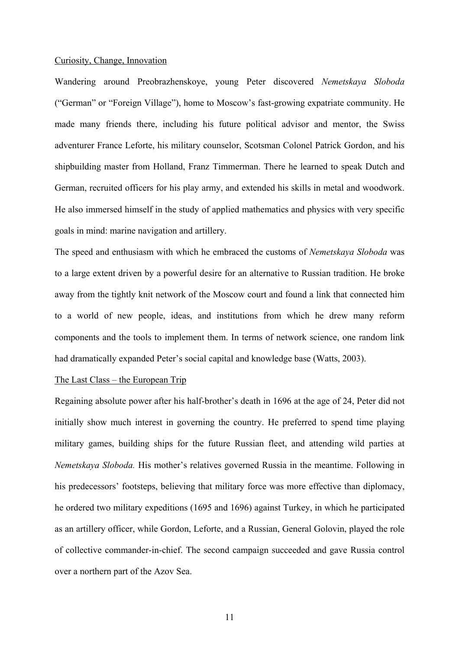#### Curiosity, Change, Innovation

Wandering around Preobrazhenskoye, young Peter discovered *Nemetskaya Sloboda*  ("German" or "Foreign Village"), home to Moscow's fast-growing expatriate community. He made many friends there, including his future political advisor and mentor, the Swiss adventurer France Leforte, his military counselor, Scotsman Colonel Patrick Gordon, and his shipbuilding master from Holland, Franz Timmerman. There he learned to speak Dutch and German, recruited officers for his play army, and extended his skills in metal and woodwork. He also immersed himself in the study of applied mathematics and physics with very specific goals in mind: marine navigation and artillery.

The speed and enthusiasm with which he embraced the customs of *Nemetskaya Sloboda* was to a large extent driven by a powerful desire for an alternative to Russian tradition. He broke away from the tightly knit network of the Moscow court and found a link that connected him to a world of new people, ideas, and institutions from which he drew many reform components and the tools to implement them. In terms of network science, one random link had dramatically expanded Peter's social capital and knowledge base (Watts, 2003).

#### The Last Class – the European Trip

Regaining absolute power after his half-brother's death in 1696 at the age of 24, Peter did not initially show much interest in governing the country. He preferred to spend time playing military games, building ships for the future Russian fleet, and attending wild parties at *Nemetskaya Sloboda.* His mother's relatives governed Russia in the meantime. Following in his predecessors' footsteps, believing that military force was more effective than diplomacy, he ordered two military expeditions (1695 and 1696) against Turkey, in which he participated as an artillery officer, while Gordon, Leforte, and a Russian, General Golovin, played the role of collective commander-in-chief. The second campaign succeeded and gave Russia control over a northern part of the Azov Sea.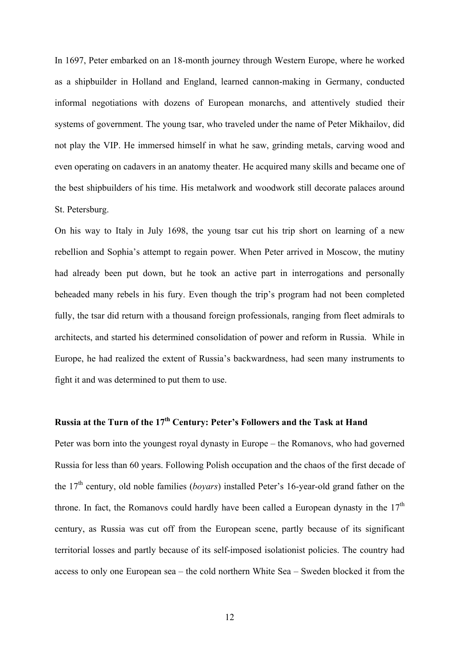In 1697, Peter embarked on an 18-month journey through Western Europe, where he worked as a shipbuilder in Holland and England, learned cannon-making in Germany, conducted informal negotiations with dozens of European monarchs, and attentively studied their systems of government. The young tsar, who traveled under the name of Peter Mikhailov, did not play the VIP. He immersed himself in what he saw, grinding metals, carving wood and even operating on cadavers in an anatomy theater. He acquired many skills and became one of the best shipbuilders of his time. His metalwork and woodwork still decorate palaces around St. Petersburg.

On his way to Italy in July 1698, the young tsar cut his trip short on learning of a new rebellion and Sophia's attempt to regain power. When Peter arrived in Moscow, the mutiny had already been put down, but he took an active part in interrogations and personally beheaded many rebels in his fury. Even though the trip's program had not been completed fully, the tsar did return with a thousand foreign professionals, ranging from fleet admirals to architects, and started his determined consolidation of power and reform in Russia. While in Europe, he had realized the extent of Russia's backwardness, had seen many instruments to fight it and was determined to put them to use.

# **Russia at the Turn of the 17th Century: Peter's Followers and the Task at Hand**

Peter was born into the youngest royal dynasty in Europe – the Romanovs, who had governed Russia for less than 60 years. Following Polish occupation and the chaos of the first decade of the 17th century, old noble families (*boyars*) installed Peter's 16-year-old grand father on the throne. In fact, the Romanovs could hardly have been called a European dynasty in the  $17<sup>th</sup>$ century, as Russia was cut off from the European scene, partly because of its significant territorial losses and partly because of its self-imposed isolationist policies. The country had access to only one European sea – the cold northern White Sea – Sweden blocked it from the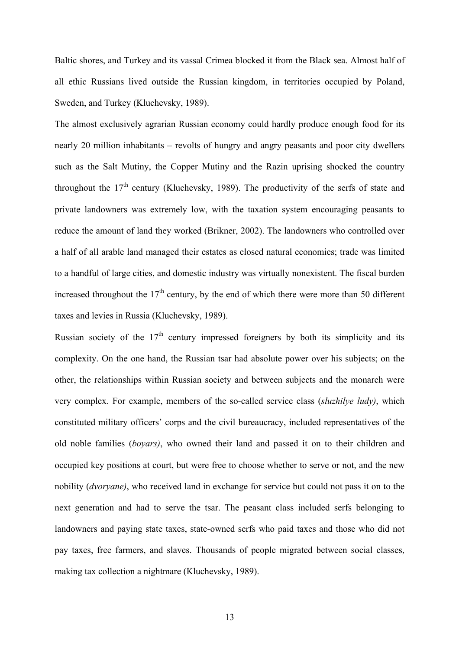Baltic shores, and Turkey and its vassal Crimea blocked it from the Black sea. Almost half of all ethic Russians lived outside the Russian kingdom, in territories occupied by Poland, Sweden, and Turkey (Kluchevsky, 1989).

The almost exclusively agrarian Russian economy could hardly produce enough food for its nearly 20 million inhabitants – revolts of hungry and angry peasants and poor city dwellers such as the Salt Mutiny, the Copper Mutiny and the Razin uprising shocked the country throughout the  $17<sup>th</sup>$  century (Kluchevsky, 1989). The productivity of the serfs of state and private landowners was extremely low, with the taxation system encouraging peasants to reduce the amount of land they worked (Brikner, 2002). The landowners who controlled over a half of all arable land managed their estates as closed natural economies; trade was limited to a handful of large cities, and domestic industry was virtually nonexistent. The fiscal burden increased throughout the  $17<sup>th</sup>$  century, by the end of which there were more than 50 different taxes and levies in Russia (Kluchevsky, 1989).

Russian society of the  $17<sup>th</sup>$  century impressed foreigners by both its simplicity and its complexity. On the one hand, the Russian tsar had absolute power over his subjects; on the other, the relationships within Russian society and between subjects and the monarch were very complex. For example, members of the so-called service class (*sluzhilye ludy)*, which constituted military officers' corps and the civil bureaucracy, included representatives of the old noble families (*boyars)*, who owned their land and passed it on to their children and occupied key positions at court, but were free to choose whether to serve or not, and the new nobility (*dvoryane)*, who received land in exchange for service but could not pass it on to the next generation and had to serve the tsar. The peasant class included serfs belonging to landowners and paying state taxes, state-owned serfs who paid taxes and those who did not pay taxes, free farmers, and slaves. Thousands of people migrated between social classes, making tax collection a nightmare (Kluchevsky, 1989).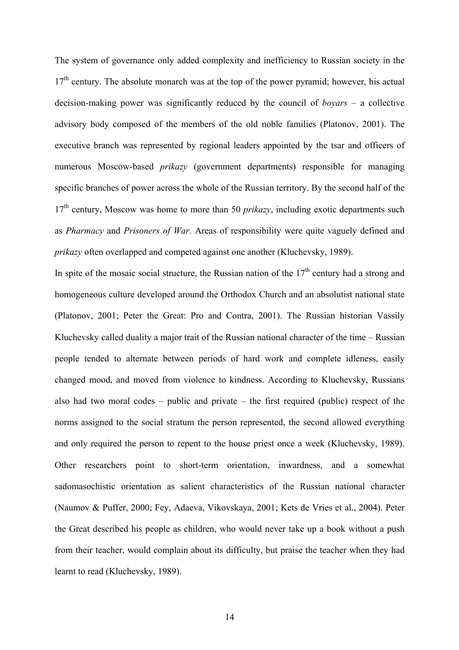The system of governance only added complexity and inefficiency to Russian society in the  $17<sup>th</sup>$  century. The absolute monarch was at the top of the power pyramid; however, his actual decision-making power was significantly reduced by the council of *boyars* – a collective advisory body composed of the members of the old noble families (Platonov, 2001). The executive branch was represented by regional leaders appointed by the tsar and officers of numerous Moscow-based *prikazy* (government departments) responsible for managing specific branches of power across the whole of the Russian territory. By the second half of the  $17<sup>th</sup>$  century, Moscow was home to more than 50 *prikazy*, including exotic departments such as *Pharmacy* and *Prisoners of War*. Areas of responsibility were quite vaguely defined and *prikazy* often overlapped and competed against one another (Kluchevsky, 1989).

In spite of the mosaic social structure, the Russian nation of the  $17<sup>th</sup>$  century had a strong and homogeneous culture developed around the Orthodox Church and an absolutist national state (Platonov, 2001; Peter the Great: Pro and Contra, 2001). The Russian historian Vassily Kluchevsky called duality a major trait of the Russian national character of the time – Russian people tended to alternate between periods of hard work and complete idleness, easily changed mood, and moved from violence to kindness. According to Kluchevsky, Russians also had two moral codes – public and private – the first required (public) respect of the norms assigned to the social stratum the person represented, the second allowed everything and only required the person to repent to the house priest once a week (Kluchevsky, 1989). Other researchers point to short-term orientation, inwardness, and a somewhat sadomasochistic orientation as salient characteristics of the Russian national character (Naumov & Puffer, 2000; Fey, Adaeva, Vikovskaya, 2001; Kets de Vries et al., 2004). Peter the Great described his people as children, who would never take up a book without a push from their teacher, would complain about its difficulty, but praise the teacher when they had learnt to read (Kluchevsky, 1989).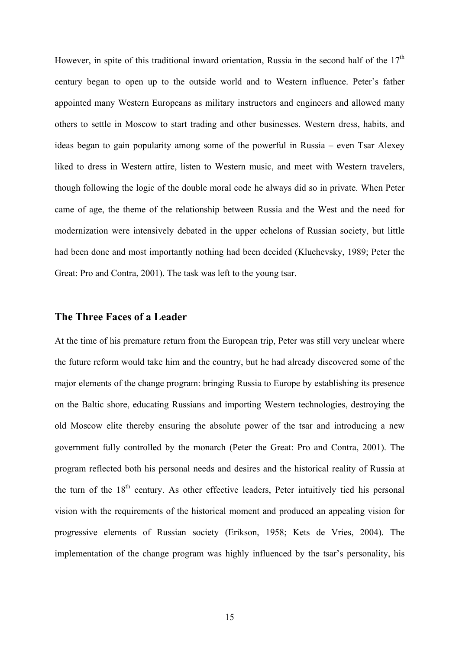However, in spite of this traditional inward orientation, Russia in the second half of the  $17<sup>th</sup>$ century began to open up to the outside world and to Western influence. Peter's father appointed many Western Europeans as military instructors and engineers and allowed many others to settle in Moscow to start trading and other businesses. Western dress, habits, and ideas began to gain popularity among some of the powerful in Russia – even Tsar Alexey liked to dress in Western attire, listen to Western music, and meet with Western travelers, though following the logic of the double moral code he always did so in private. When Peter came of age, the theme of the relationship between Russia and the West and the need for modernization were intensively debated in the upper echelons of Russian society, but little had been done and most importantly nothing had been decided (Kluchevsky, 1989; Peter the Great: Pro and Contra, 2001). The task was left to the young tsar.

# **The Three Faces of a Leader**

At the time of his premature return from the European trip, Peter was still very unclear where the future reform would take him and the country, but he had already discovered some of the major elements of the change program: bringing Russia to Europe by establishing its presence on the Baltic shore, educating Russians and importing Western technologies, destroying the old Moscow elite thereby ensuring the absolute power of the tsar and introducing a new government fully controlled by the monarch (Peter the Great: Pro and Contra, 2001). The program reflected both his personal needs and desires and the historical reality of Russia at the turn of the  $18<sup>th</sup>$  century. As other effective leaders, Peter intuitively tied his personal vision with the requirements of the historical moment and produced an appealing vision for progressive elements of Russian society (Erikson, 1958; Kets de Vries, 2004). The implementation of the change program was highly influenced by the tsar's personality, his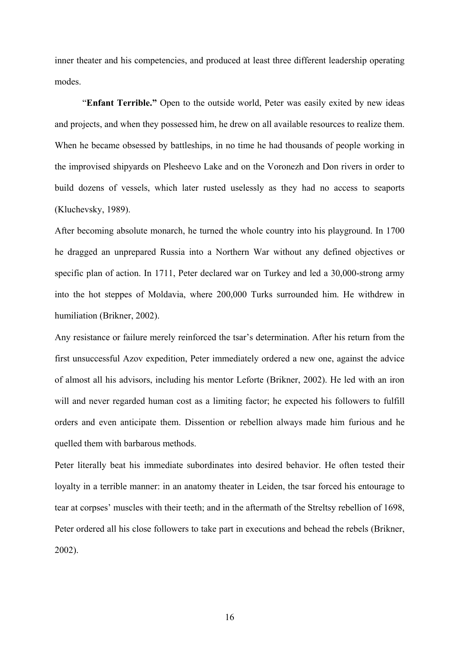inner theater and his competencies, and produced at least three different leadership operating modes.

 "**Enfant Terrible."** Open to the outside world, Peter was easily exited by new ideas and projects, and when they possessed him, he drew on all available resources to realize them. When he became obsessed by battleships, in no time he had thousands of people working in the improvised shipyards on Plesheevo Lake and on the Voronezh and Don rivers in order to build dozens of vessels, which later rusted uselessly as they had no access to seaports (Kluchevsky, 1989).

After becoming absolute monarch, he turned the whole country into his playground. In 1700 he dragged an unprepared Russia into a Northern War without any defined objectives or specific plan of action. In 1711, Peter declared war on Turkey and led a 30,000-strong army into the hot steppes of Moldavia, where 200,000 Turks surrounded him. He withdrew in humiliation (Brikner, 2002).

Any resistance or failure merely reinforced the tsar's determination. After his return from the first unsuccessful Azov expedition, Peter immediately ordered a new one, against the advice of almost all his advisors, including his mentor Leforte (Brikner, 2002). He led with an iron will and never regarded human cost as a limiting factor; he expected his followers to fulfill orders and even anticipate them. Dissention or rebellion always made him furious and he quelled them with barbarous methods.

Peter literally beat his immediate subordinates into desired behavior. He often tested their loyalty in a terrible manner: in an anatomy theater in Leiden, the tsar forced his entourage to tear at corpses' muscles with their teeth; and in the aftermath of the Streltsy rebellion of 1698, Peter ordered all his close followers to take part in executions and behead the rebels (Brikner, 2002).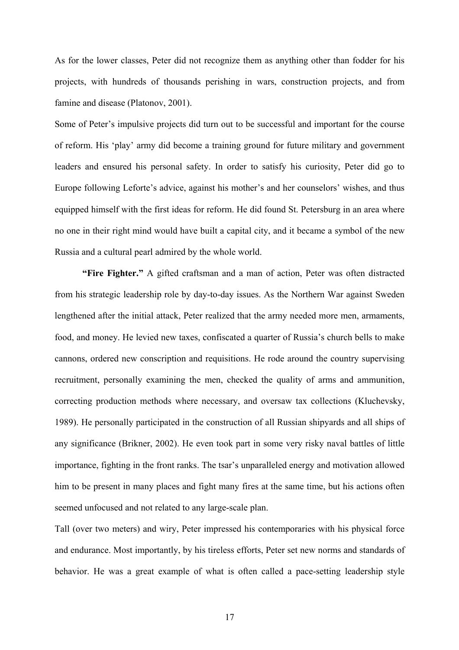As for the lower classes, Peter did not recognize them as anything other than fodder for his projects, with hundreds of thousands perishing in wars, construction projects, and from famine and disease (Platonov, 2001).

Some of Peter's impulsive projects did turn out to be successful and important for the course of reform. His 'play' army did become a training ground for future military and government leaders and ensured his personal safety. In order to satisfy his curiosity, Peter did go to Europe following Leforte's advice, against his mother's and her counselors' wishes, and thus equipped himself with the first ideas for reform. He did found St. Petersburg in an area where no one in their right mind would have built a capital city, and it became a symbol of the new Russia and a cultural pearl admired by the whole world.

**"Fire Fighter."** A gifted craftsman and a man of action, Peter was often distracted from his strategic leadership role by day-to-day issues. As the Northern War against Sweden lengthened after the initial attack, Peter realized that the army needed more men, armaments, food, and money. He levied new taxes, confiscated a quarter of Russia's church bells to make cannons, ordered new conscription and requisitions. He rode around the country supervising recruitment, personally examining the men, checked the quality of arms and ammunition, correcting production methods where necessary, and oversaw tax collections (Kluchevsky, 1989). He personally participated in the construction of all Russian shipyards and all ships of any significance (Brikner, 2002). He even took part in some very risky naval battles of little importance, fighting in the front ranks. The tsar's unparalleled energy and motivation allowed him to be present in many places and fight many fires at the same time, but his actions often seemed unfocused and not related to any large-scale plan.

Tall (over two meters) and wiry, Peter impressed his contemporaries with his physical force and endurance. Most importantly, by his tireless efforts, Peter set new norms and standards of behavior. He was a great example of what is often called a pace-setting leadership style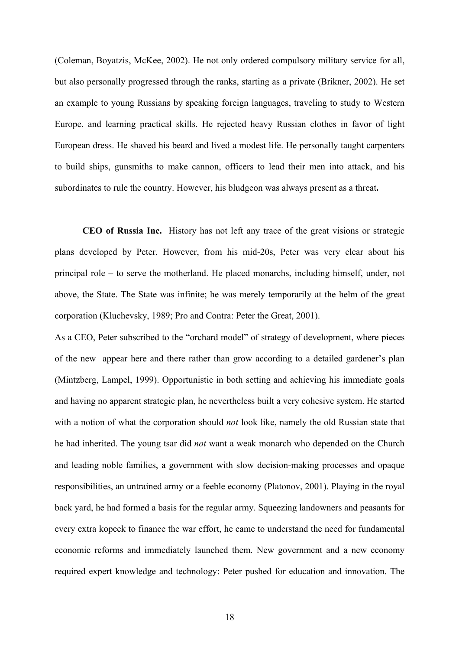(Coleman, Boyatzis, McKee, 2002). He not only ordered compulsory military service for all, but also personally progressed through the ranks, starting as a private (Brikner, 2002). He set an example to young Russians by speaking foreign languages, traveling to study to Western Europe, and learning practical skills. He rejected heavy Russian clothes in favor of light European dress. He shaved his beard and lived a modest life. He personally taught carpenters to build ships, gunsmiths to make cannon, officers to lead their men into attack, and his subordinates to rule the country. However, his bludgeon was always present as a threat**.** 

**CEO of Russia Inc.** History has not left any trace of the great visions or strategic plans developed by Peter. However, from his mid-20s, Peter was very clear about his principal role – to serve the motherland. He placed monarchs, including himself, under, not above, the State. The State was infinite; he was merely temporarily at the helm of the great corporation (Kluchevsky, 1989; Pro and Contra: Peter the Great, 2001).

As a CEO, Peter subscribed to the "orchard model" of strategy of development, where pieces of the new appear here and there rather than grow according to a detailed gardener's plan (Mintzberg, Lampel, 1999). Opportunistic in both setting and achieving his immediate goals and having no apparent strategic plan, he nevertheless built a very cohesive system. He started with a notion of what the corporation should *not* look like, namely the old Russian state that he had inherited. The young tsar did *not* want a weak monarch who depended on the Church and leading noble families, a government with slow decision-making processes and opaque responsibilities, an untrained army or a feeble economy (Platonov, 2001). Playing in the royal back yard, he had formed a basis for the regular army. Squeezing landowners and peasants for every extra kopeck to finance the war effort, he came to understand the need for fundamental economic reforms and immediately launched them. New government and a new economy required expert knowledge and technology: Peter pushed for education and innovation. The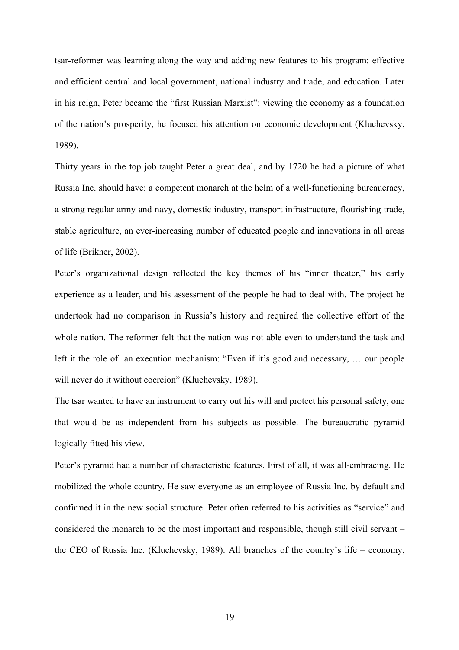tsar-reformer was learning along the way and adding new features to his program: effective and efficient central and local government, national industry and trade, and education. Later in his reign, Peter became the "first Russian Marxist": viewing the economy as a foundation of the nation's prosperity, he focused his attention on economic development (Kluchevsky, 1989).

Thirty years in the top job taught Peter a great deal, and by 1720 he had a picture of what Russia Inc. should have: a competent monarch at the helm of a well-functioning bureaucracy, a strong regular army and navy, domestic industry, transport infrastructure, flourishing trade, stable agriculture, an ever-increasing number of educated people and innovations in all areas of life (Brikner, 2002).

Peter's organizational design reflected the key themes of his "inner theater," his early experience as a leader, and his assessment of the people he had to deal with. The project he undertook had no comparison in Russia's history and required the collective effort of the whole nation. The reformer felt that the nation was not able even to understand the task and left it the role of an execution mechanism: "Even if it's good and necessary, … our people will never do it without coercion[" \(](#page-19-0)Kluchevsky, 1989).

The tsar wanted to have an instrument to carry out his will and protect his personal safety, one that would be as independent from his subjects as possible. The bureaucratic pyramid logically fitted his view.

Peter's pyramid had a number of characteristic features. First of all, it was all-embracing. He mobilized the whole country. He saw everyone as an employee of Russia Inc. by default and confirmed it in the new social structure. Peter often referred to his activities as "service" and considered the monarch to be the most important and responsible, though still civil servant – the CEO of Russia Inc. (Kluchevsky, 1989). All branches of the country's life – economy,

<span id="page-19-0"></span> $\overline{a}$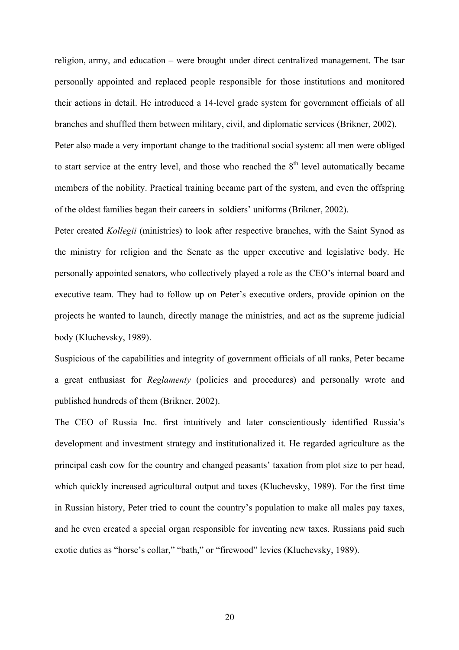religion, army, and education – were brought under direct centralized management. The tsar personally appointed and replaced people responsible for those institutions and monitored their actions in detail. He introduced a 14-level grade system for government officials of all branches and shuffled them between military, civil, and diplomatic services (Brikner, 2002).

Peter also made a very important change to the traditional social system: all men were obliged to start service at the entry level, and those who reached the  $8<sup>th</sup>$  level automatically became members of the nobility. Practical training became part of the system, and even the offspring of the oldest families began their careers in soldiers' uniforms (Brikner, 2002).

Peter created *Kollegii* (ministries) to look after respective branches, with the Saint Synod as the ministry for religion and the Senate as the upper executive and legislative body. He personally appointed senators, who collectively played a role as the CEO's internal board and executive team. They had to follow up on Peter's executive orders, provide opinion on the projects he wanted to launch, directly manage the ministries, and act as the supreme judicial body (Kluchevsky, 1989).

Suspicious of the capabilities and integrity of government officials of all ranks, Peter became a great enthusiast for *Reglamenty* (policies and procedures) and personally wrote and published hundreds of them (Brikner, 2002).

The CEO of Russia Inc. first intuitively and later conscientiously identified Russia's development and investment strategy and institutionalized it. He regarded agriculture as the principal cash cow for the country and changed peasants' taxation from plot size to per head, which quickly increased agricultural output and taxes (Kluchevsky, 1989). For the first time in Russian history, Peter tried to count the country's population to make all males pay taxes, and he even created a special organ responsible for inventing new taxes. Russians paid such exotic duties as "horse's collar," "bath," or "firewood" levies (Kluchevsky, 1989).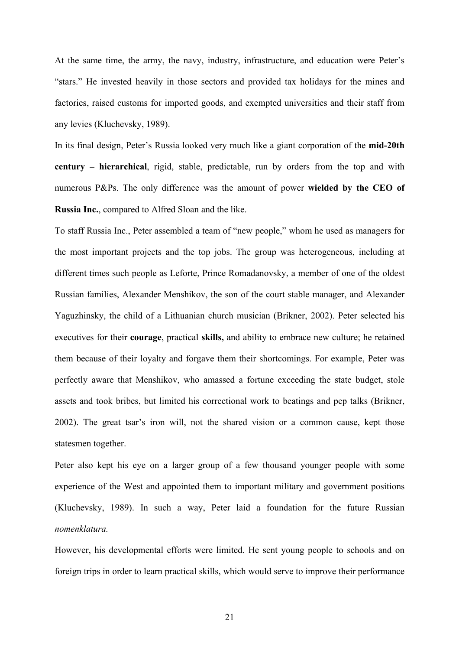At the same time, the army, the navy, industry, infrastructure, and education were Peter's "stars." He invested heavily in those sectors and provided tax holidays for the mines and factories, raised customs for imported goods, and exempted universities and their staff from any levies (Kluchevsky, 1989).

In its final design, Peter's Russia looked very much like a giant corporation of the **mid-20th century – hierarchical**, rigid, stable, predictable, run by orders from the top and with numerous P&Ps. The only difference was the amount of power **wielded by the CEO of Russia Inc.**, compared to Alfred Sloan and the like.

To staff Russia Inc., Peter assembled a team of "new people," whom he used as managers for the most important projects and the top jobs. The group was heterogeneous, including at different times such people as Leforte, Prince Romadanovsky, a member of one of the oldest Russian families, Alexander Menshikov, the son of the court stable manager, and Alexander Yaguzhinsky, the child of a Lithuanian church musician (Brikner, 2002). Peter selected his executives for their **courage**, practical **skills,** and ability to embrace new culture; he retained them because of their loyalty and forgave them their shortcomings. For example, Peter was perfectly aware that Menshikov, who amassed a fortune exceeding the state budget, stole assets and took bribes, but limited his correctional work to beatings and pep talks (Brikner, 2002). The great tsar's iron will, not the shared vision or a common cause, kept those statesmen together.

Peter also kept his eye on a larger group of a few thousand younger people with some experience of the West and appointed them to important military and government positions (Kluchevsky, 1989). In such a way, Peter laid a foundation for the future Russian *nomenklatura.* 

However, his developmental efforts were limited. He sent young people to schools and on foreign trips in order to learn practical skills, which would serve to improve their performance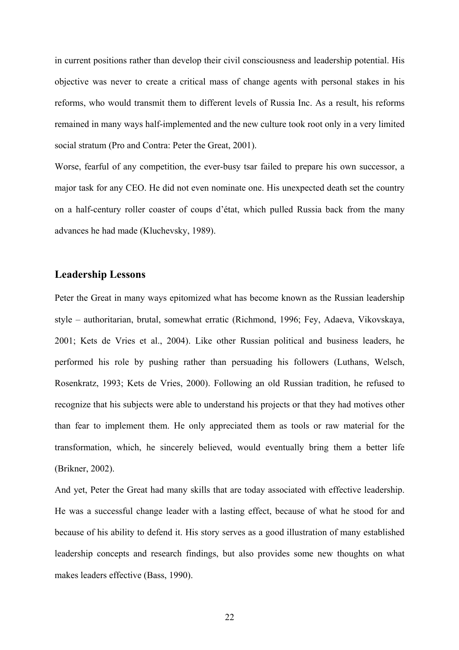in current positions rather than develop their civil consciousness and leadership potential. His objective was never to create a critical mass of change agents with personal stakes in his reforms, who would transmit them to different levels of Russia Inc. As a result, his reforms remained in many ways half-implemented and the new culture took root only in a very limited social stratum (Pro and Contra: Peter the Great, 2001).

Worse, fearful of any competition, the ever-busy tsar failed to prepare his own successor, a major task for any CEO. He did not even nominate one. His unexpected death set the country on a half-century roller coaster of coups d'état, which pulled Russia back from the many advances he had made (Kluchevsky, 1989).

# **Leadership Lessons**

Peter the Great in many ways epitomized what has become known as the Russian leadership style – authoritarian, brutal, somewhat erratic (Richmond, 1996; Fey, Adaeva, Vikovskaya, 2001; Kets de Vries et al., 2004). Like other Russian political and business leaders, he performed his role by pushing rather than persuading his followers (Luthans, Welsch, Rosenkratz, 1993; Kets de Vries, 2000). Following an old Russian tradition, he refused to recognize that his subjects were able to understand his projects or that they had motives other than fear to implement them. He only appreciated them as tools or raw material for the transformation, which, he sincerely believed, would eventually bring them a better life (Brikner, 2002).

And yet, Peter the Great had many skills that are today associated with effective leadership. He was a successful change leader with a lasting effect, because of what he stood for and because of his ability to defend it. His story serves as a good illustration of many established leadership concepts and research findings, but also provides some new thoughts on what makes leaders effective (Bass, 1990).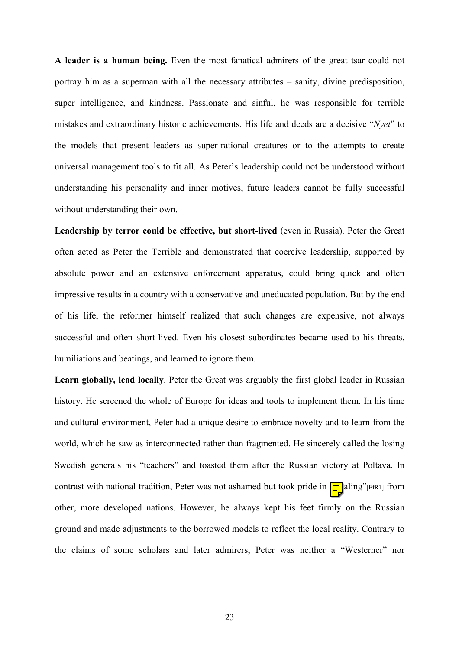**A leader is a human being.** Even the most fanatical admirers of the great tsar could not portray him as a superman with all the necessary attributes – sanity, divine predisposition, super intelligence, and kindness. Passionate and sinful, he was responsible for terrible mistakes and extraordinary historic achievements. His life and deeds are a decisive "*Nyet*" to the models that present leaders as super-rational creatures or to the attempts to create universal management tools to fit all. As Peter's leadership could not be understood without understanding his personality and inner motives, future leaders cannot be fully successful without understanding their own.

Leadership by terror could be effective, but short-lived (even in Russia). Peter the Great often acted as Peter the Terrible and demonstrated that coercive leadership, supported by absolute power and an extensive enforcement apparatus, could bring quick and often impressive results in a country with a conservative and uneducated population. But by the end of his life, the reformer himself realized that such changes are expensive, not always successful and often short-lived. Even his closest subordinates became used to his threats, humiliations and beatings, and learned to ignore them.

**Learn globally, lead locally**. Peter the Great was arguably the first global leader in Russian history. He screened the whole of Europe for ideas and tools to implement them. In his time and cultural environment, Peter had a unique desire to embrace novelty and to learn from the world, which he saw as interconnected rather than fragmented. He sincerely called the losing Swedish generals his "teachers" and toasted them after the Russian victory at Poltava. In contrast with national tradition, Peter was not ashamed but took pride in  $\boxed{\equiv}$  aling"[EfR1] from other, more developed nations. However, he always kept his feet firmly on the Russian ground and made adjustments to the borrowed models to reflect the local reality. Contrary to the claims of some scholars and later admirers, Peter was neither a "Westerner" nor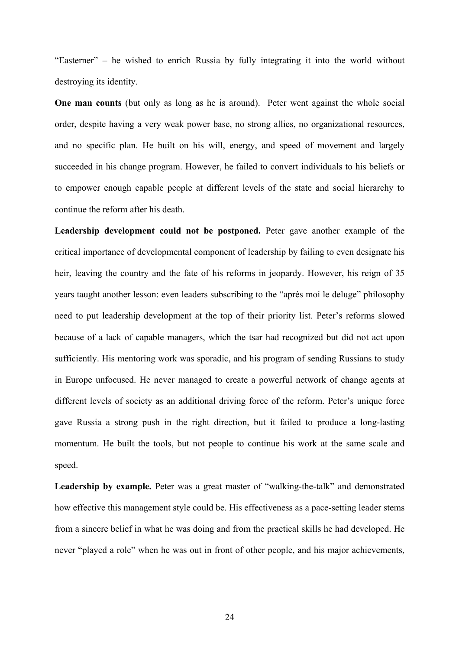"Easterner" – he wished to enrich Russia by fully integrating it into the world without destroying its identity.

**One man counts** (but only as long as he is around). Peter went against the whole social order, despite having a very weak power base, no strong allies, no organizational resources, and no specific plan. He built on his will, energy, and speed of movement and largely succeeded in his change program. However, he failed to convert individuals to his beliefs or to empower enough capable people at different levels of the state and social hierarchy to continue the reform after his death.

**Leadership development could not be postponed.** Peter gave another example of the critical importance of developmental component of leadership by failing to even designate his heir, leaving the country and the fate of his reforms in jeopardy. However, his reign of 35 years taught another lesson: even leaders subscribing to the "après moi le deluge" philosophy need to put leadership development at the top of their priority list. Peter's reforms slowed because of a lack of capable managers, which the tsar had recognized but did not act upon sufficiently. His mentoring work was sporadic, and his program of sending Russians to study in Europe unfocused. He never managed to create a powerful network of change agents at different levels of society as an additional driving force of the reform. Peter's unique force gave Russia a strong push in the right direction, but it failed to produce a long-lasting momentum. He built the tools, but not people to continue his work at the same scale and speed.

Leadership by example. Peter was a great master of "walking-the-talk" and demonstrated how effective this management style could be. His effectiveness as a pace-setting leader stems from a sincere belief in what he was doing and from the practical skills he had developed. He never "played a role" when he was out in front of other people, and his major achievements,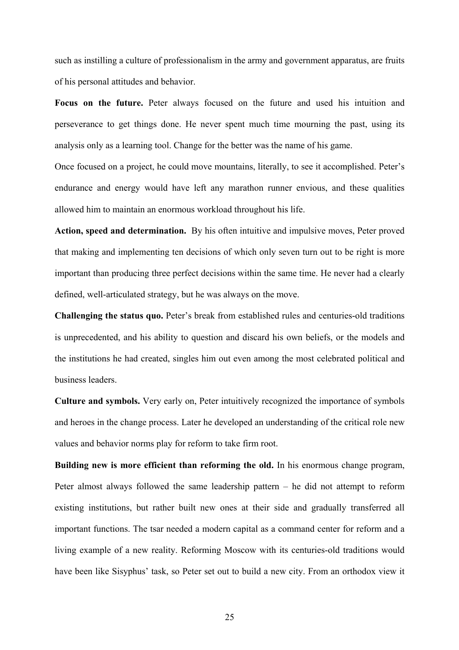such as instilling a culture of professionalism in the army and government apparatus, are fruits of his personal attitudes and behavior.

**Focus on the future.** Peter always focused on the future and used his intuition and perseverance to get things done. He never spent much time mourning the past, using its analysis only as a learning tool. Change for the better was the name of his game.

Once focused on a project, he could move mountains, literally, to see it accomplished. Peter's endurance and energy would have left any marathon runner envious, and these qualities allowed him to maintain an enormous workload throughout his life.

**Action, speed and determination.** By his often intuitive and impulsive moves, Peter proved that making and implementing ten decisions of which only seven turn out to be right is more important than producing three perfect decisions within the same time. He never had a clearly defined, well-articulated strategy, but he was always on the move.

**Challenging the status quo.** Peter's break from established rules and centuries-old traditions is unprecedented, and his ability to question and discard his own beliefs, or the models and the institutions he had created, singles him out even among the most celebrated political and business leaders.

**Culture and symbols.** Very early on, Peter intuitively recognized the importance of symbols and heroes in the change process. Later he developed an understanding of the critical role new values and behavior norms play for reform to take firm root.

**Building new is more efficient than reforming the old.** In his enormous change program, Peter almost always followed the same leadership pattern – he did not attempt to reform existing institutions, but rather built new ones at their side and gradually transferred all important functions. The tsar needed a modern capital as a command center for reform and a living example of a new reality. Reforming Moscow with its centuries-old traditions would have been like Sisyphus' task, so Peter set out to build a new city. From an orthodox view it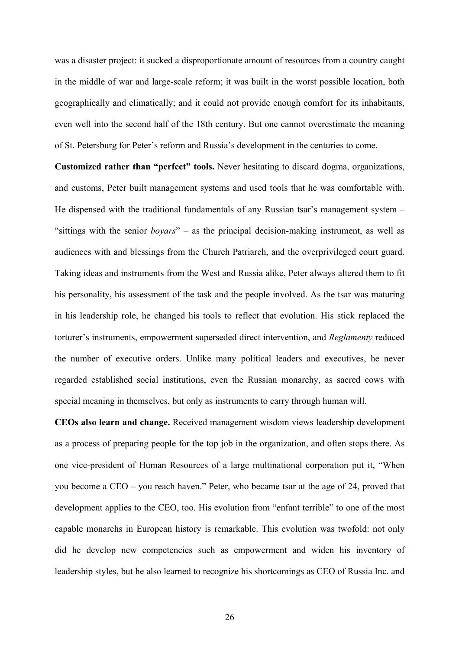was a disaster project: it sucked a disproportionate amount of resources from a country caught in the middle of war and large-scale reform; it was built in the worst possible location, both geographically and climatically; and it could not provide enough comfort for its inhabitants, even well into the second half of the 18th century. But one cannot overestimate the meaning of St. Petersburg for Peter's reform and Russia's development in the centuries to come.

**Customized rather than "perfect" tools.** Never hesitating to discard dogma, organizations, and customs, Peter built management systems and used tools that he was comfortable with. He dispensed with the traditional fundamentals of any Russian tsar's management system – "sittings with the senior *boyars*" – as the principal decision-making instrument, as well as audiences with and blessings from the Church Patriarch, and the overprivileged court guard. Taking ideas and instruments from the West and Russia alike, Peter always altered them to fit his personality, his assessment of the task and the people involved. As the tsar was maturing in his leadership role, he changed his tools to reflect that evolution. His stick replaced the torturer's instruments, empowerment superseded direct intervention, and *Reglamenty* reduced the number of executive orders. Unlike many political leaders and executives, he never regarded established social institutions, even the Russian monarchy, as sacred cows with special meaning in themselves, but only as instruments to carry through human will.

**CEOs also learn and change.** Received management wisdom views leadership development as a process of preparing people for the top job in the organization, and often stops there. As one vice-president of Human Resources of a large multinational corporation put it, "When you become a CEO – you reach haven." Peter, who became tsar at the age of 24, proved that development applies to the CEO, too. His evolution from "enfant terrible" to one of the most capable monarchs in European history is remarkable. This evolution was twofold: not only did he develop new competencies such as empowerment and widen his inventory of leadership styles, but he also learned to recognize his shortcomings as CEO of Russia Inc. and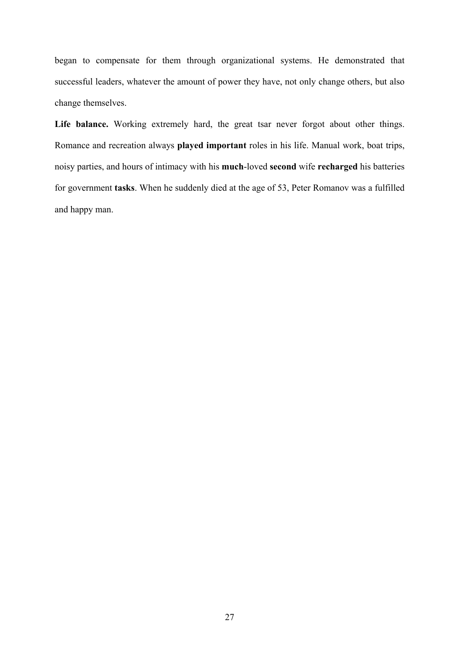began to compensate for them through organizational systems. He demonstrated that successful leaders, whatever the amount of power they have, not only change others, but also change themselves.

Life balance. Working extremely hard, the great tsar never forgot about other things. Romance and recreation always **played important** roles in his life. Manual work, boat trips, noisy parties, and hours of intimacy with his **much**-loved **second** wife **recharged** his batteries for government **tasks**. When he suddenly died at the age of 53, Peter Romanov was a fulfilled and happy man.